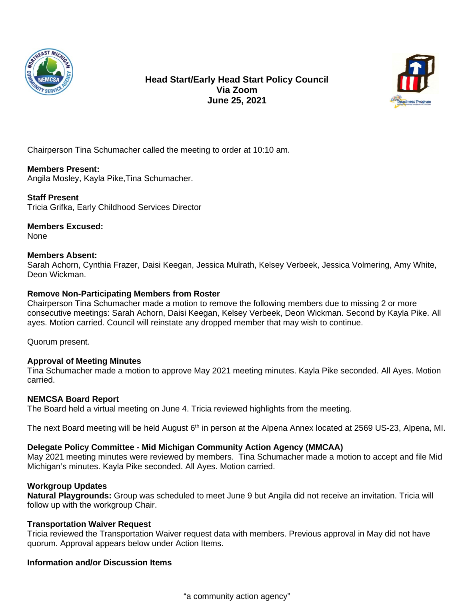



Chairperson Tina Schumacher called the meeting to order at 10:10 am.

# **Members Present:**

Angila Mosley, Kayla Pike,Tina Schumacher.

# **Staff Present**

Tricia Grifka, Early Childhood Services Director

# **Members Excused:**

None

### **Members Absent:**

Sarah Achorn, Cynthia Frazer, Daisi Keegan, Jessica Mulrath, Kelsey Verbeek, Jessica Volmering, Amy White, Deon Wickman.

# **Remove Non-Participating Members from Roster**

Chairperson Tina Schumacher made a motion to remove the following members due to missing 2 or more consecutive meetings: Sarah Achorn, Daisi Keegan, Kelsey Verbeek, Deon Wickman. Second by Kayla Pike. All ayes. Motion carried. Council will reinstate any dropped member that may wish to continue.

Quorum present.

### **Approval of Meeting Minutes**

Tina Schumacher made a motion to approve May 2021 meeting minutes. Kayla Pike seconded. All Ayes. Motion carried.

### **NEMCSA Board Report**

The Board held a virtual meeting on June 4. Tricia reviewed highlights from the meeting.

The next Board meeting will be held August 6<sup>th</sup> in person at the Alpena Annex located at 2569 US-23, Alpena, MI.

# **Delegate Policy Committee - Mid Michigan Community Action Agency (MMCAA)**

May 2021 meeting minutes were reviewed by members. Tina Schumacher made a motion to accept and file Mid Michigan's minutes. Kayla Pike seconded. All Ayes. Motion carried.

### **Workgroup Updates**

**Natural Playgrounds:** Group was scheduled to meet June 9 but Angila did not receive an invitation. Tricia will follow up with the workgroup Chair.

### **Transportation Waiver Request**

Tricia reviewed the Transportation Waiver request data with members. Previous approval in May did not have quorum. Approval appears below under Action Items.

# **Information and/or Discussion Items**